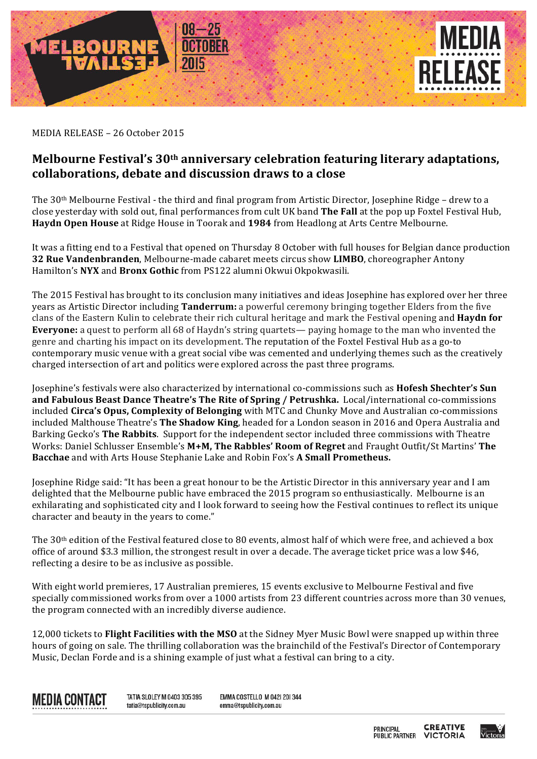

MEDIA RELEASE - 26 October 2015

## Melbourne Festival's 30<sup>th</sup> anniversary celebration featuring literary adaptations, **collaborations, debate and discussion draws to a close**

The  $30<sup>th</sup>$  Melbourne Festival - the third and final program from Artistic Director, Josephine Ridge – drew to a close yesterday with sold out, final performances from cult UK band The Fall at the pop up Foxtel Festival Hub, **Haydn Open House** at Ridge House in Toorak and 1984 from Headlong at Arts Centre Melbourne.

It was a fitting end to a Festival that opened on Thursday 8 October with full houses for Belgian dance production **32 Rue Vandenbranden**, Melbourne-made cabaret meets circus show **LIMBO**, choreographer Antony Hamilton's NYX and Bronx Gothic from PS122 alumni Okwui Okpokwasili.

The 2015 Festival has brought to its conclusion many initiatives and ideas Josephine has explored over her three years as Artistic Director including **Tanderrum:** a powerful ceremony bringing together Elders from the five clans of the Eastern Kulin to celebrate their rich cultural heritage and mark the Festival opening and **Haydn for Everyone:** a quest to perform all 68 of Haydn's string quartets— paying homage to the man who invented the genre and charting his impact on its development. The reputation of the Foxtel Festival Hub as a go-to contemporary music venue with a great social vibe was cemented and underlying themes such as the creatively charged intersection of art and politics were explored across the past three programs.

Josephine's festivals were also characterized by international co-commissions such as Hofesh Shechter's Sun **and Fabulous Beast Dance Theatre's The Rite of Spring / Petrushka.** Local/international co-commissions included Circa's Opus, Complexity of Belonging with MTC and Chunky Move and Australian co-commissions included Malthouse Theatre's **The Shadow King**, headed for a London season in 2016 and Opera Australia and Barking Gecko's **The Rabbits**. Support for the independent sector included three commissions with Theatre Works: Daniel Schlusser Ensemble's M+M, The Rabbles' Room of Regret and Fraught Outfit/St Martins' The **Bacchae** and with Arts House Stephanie Lake and Robin Fox's A Small Prometheus.

Josephine Ridge said: "It has been a great honour to be the Artistic Director in this anniversary year and I am delighted that the Melbourne public have embraced the 2015 program so enthusiastically. Melbourne is an exhilarating and sophisticated city and I look forward to seeing how the Festival continues to reflect its unique character and beauty in the years to come."

The  $30<sup>th</sup>$  edition of the Festival featured close to 80 events, almost half of which were free, and achieved a box office of around \$3.3 million, the strongest result in over a decade. The average ticket price was a low \$46, reflecting a desire to be as inclusive as possible.

With eight world premieres, 17 Australian premieres, 15 events exclusive to Melbourne Festival and five specially commissioned works from over a 1000 artists from 23 different countries across more than 30 venues, the program connected with an incredibly diverse audience.

12,000 tickets to **Flight Facilities with the MSO** at the Sidney Myer Music Bowl were snapped up within three hours of going on sale. The thrilling collaboration was the brainchild of the Festival's Director of Contemporary Music, Declan Forde and is a shining example of just what a festival can bring to a city.



TATIA SLOLEY M 0403 305 395 tatia@tspublicity.com.au

**EMMA COSTELLO M 0421 201344** emma@tspublicity.com.au